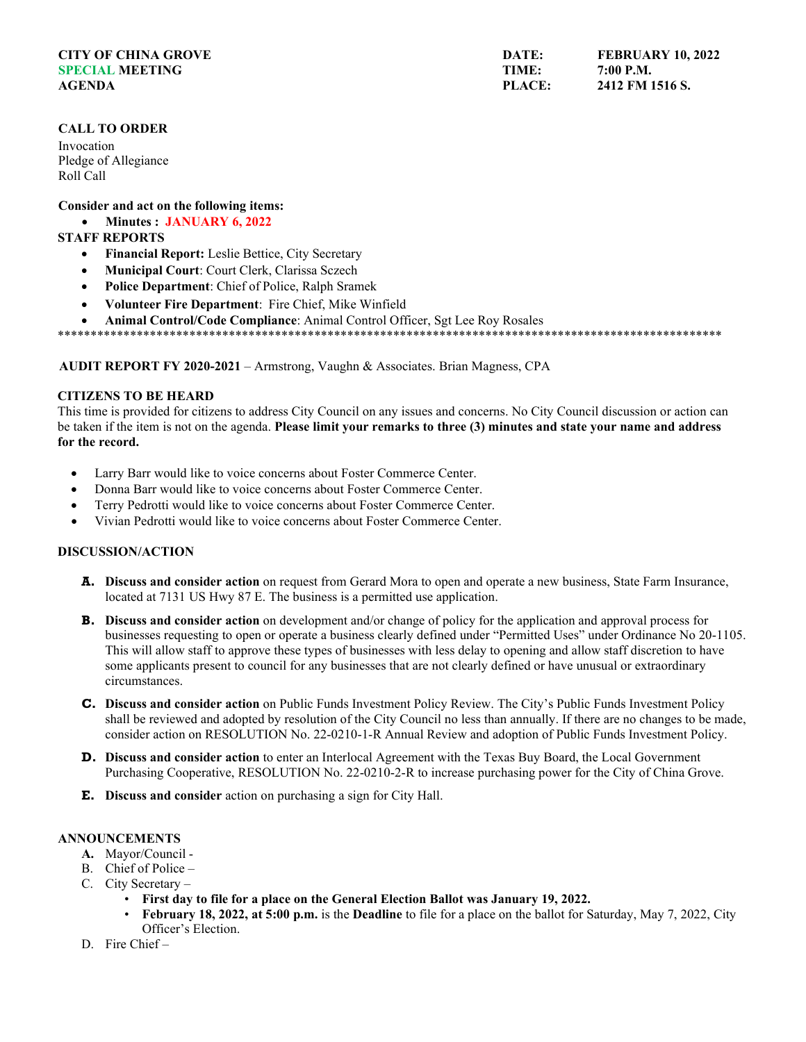# **CITY OF CHINA GROVE SPECIAL MEETING AGENDA**

# **CALL TO ORDER**

Invocation Pledge of Allegiance Roll Call

## **Consider and act on the following items:**

• **Minutes : JANUARY 6, 2022**

# **STAFF REPORTS**

- **Financial Report:** Leslie Bettice, City Secretary
- **Municipal Court**: Court Clerk, Clarissa Sczech
- **Police Department**: Chief of Police, Ralph Sramek
- **Volunteer Fire Department**: Fire Chief, Mike Winfield
- **Animal Control/Code Compliance**: Animal Control Officer, Sgt Lee Roy Rosales

\*\*\*\*\*\*\*\*\*\*\*\*\*\*\*\*\*\*\*\*\*\*\*\*\*\*\*\*\*\*\*\*\*\*\*\*\*\*\*\*\*\*\*\*\*\*\*\*\*\*\*\*\*\*\*\*\*\*\*\*\*\*\*\*\*\*\*\*\*\*\*\*\*\*\*\*\*\*\*\*\*\*\*\*\*\*\*\*\*\*\*\*\*\*\*\*\*\*\*\*\*

**AUDIT REPORT FY 2020-2021** – Armstrong, Vaughn & Associates. Brian Magness, CPA

#### **CITIZENS TO BE HEARD**

This time is provided for citizens to address City Council on any issues and concerns. No City Council discussion or action can be taken if the item is not on the agenda. **Please limit your remarks to three (3) minutes and state your name and address for the record.**

- Larry Barr would like to voice concerns about Foster Commerce Center.
- Donna Barr would like to voice concerns about Foster Commerce Center.
- Terry Pedrotti would like to voice concerns about Foster Commerce Center.
- Vivian Pedrotti would like to voice concerns about Foster Commerce Center.

# **DISCUSSION/ACTION**

- **A. Discuss and consider action** on request from Gerard Mora to open and operate a new business, State Farm Insurance, located at 7131 US Hwy 87 E. The business is a permitted use application.
- **B. Discuss and consider action** on development and/or change of policy for the application and approval process for businesses requesting to open or operate a business clearly defined under "Permitted Uses" under Ordinance No 20-1105. This will allow staff to approve these types of businesses with less delay to opening and allow staff discretion to have some applicants present to council for any businesses that are not clearly defined or have unusual or extraordinary circumstances.
- **C. Discuss and consider action** on Public Funds Investment Policy Review. The City's Public Funds Investment Policy shall be reviewed and adopted by resolution of the City Council no less than annually. If there are no changes to be made, consider action on RESOLUTION No. 22-0210-1-R Annual Review and adoption of Public Funds Investment Policy.
- **D. Discuss and consider action** to enter an Interlocal Agreement with the Texas Buy Board, the Local Government Purchasing Cooperative, RESOLUTION No. 22-0210-2-R to increase purchasing power for the City of China Grove.
- **E. Discuss and consider** action on purchasing a sign for City Hall.

#### **ANNOUNCEMENTS**

- **A.** Mayor/Council -
- B. Chief of Police –
- C. City Secretary
	- **First day to file for a place on the General Election Ballot was January 19, 2022.**
	- **February 18, 2022, at 5:00 p.m.** is the **Deadline** to file for a place on the ballot for Saturday, May 7, 2022, City Officer's Election.
- D. Fire Chief –